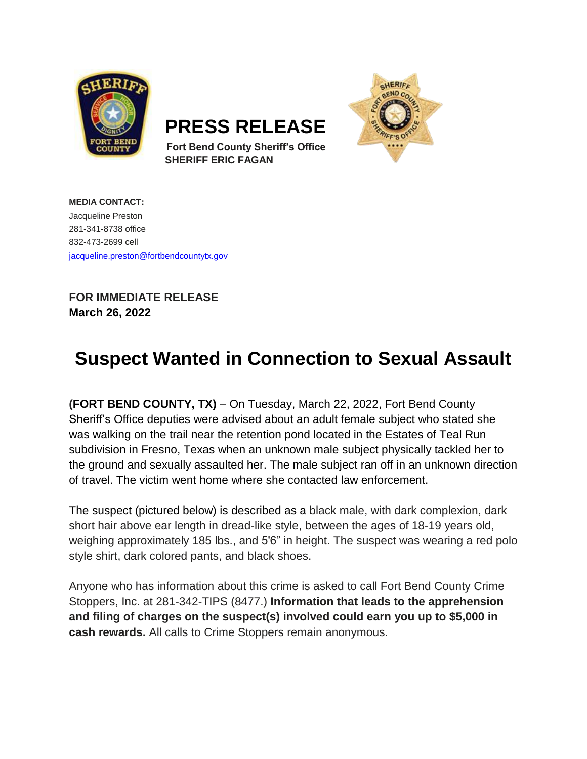

**PRESS RELEASE**



**Fort Bend County Sheriff's Office SHERIFF ERIC FAGAN**

**MEDIA CONTACT:** Jacqueline Preston 281-341-8738 office 832-473-2699 cell [jacqueline.preston@fortbendcountytx.gov](mailto:jacqueline.preston@fortbendcountytx.gov) 

**FOR IMMEDIATE RELEASE March 26, 2022**

## **Suspect Wanted in Connection to Sexual Assault**

**(FORT BEND COUNTY, TX)** – On Tuesday, March 22, 2022, Fort Bend County Sheriff's Office deputies were advised about an adult female subject who stated she was walking on the trail near the retention pond located in the Estates of Teal Run subdivision in Fresno, Texas when an unknown male subject physically tackled her to the ground and sexually assaulted her. The male subject ran off in an unknown direction of travel. The victim went home where she contacted law enforcement.

The suspect (pictured below) is described as a black male, with dark complexion, dark short hair above ear length in dread-like style, between the ages of 18-19 years old, weighing approximately 185 lbs., and 5'6" in height. The suspect was wearing a red polo style shirt, dark colored pants, and black shoes.

Anyone who has information about this crime is asked to call Fort Bend County Crime Stoppers, Inc. at 281-342-TIPS (8477.) **Information that leads to the apprehension and filing of charges on the suspect(s) involved could earn you up to \$5,000 in cash rewards.** All calls to Crime Stoppers remain anonymous.